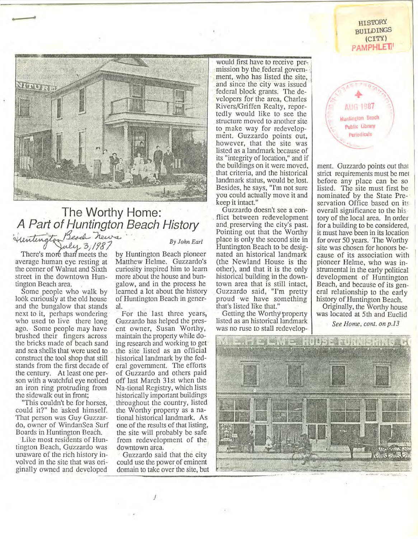**HISTORY** BUILDINGS (CITY) **PAMPHLE1** 



## . **The Worthy Home: A Part of Huntington Beach History** A Fall Of Humington Beach History<br>intensitive Beach news<br>and By John Earl **Party** 3, 1987

average human eye resting at Matthew Helme. Guzzardo's the comer of Walnut and Sixth curiosity inspired him to learn street in the downtown Hun- more about the house and buntington Beach area. . galow, and in the process he

**.. ...** 

look curiously at the old house of Huntington Beach in generand the bungalow that stands al. next to it, perhaps wondering For the last three years, who used to live there long Guzzardo has helped the presago. Some people may have ent owner, Susan Worthy, brushed their fingers across maintain the property while dothe bricks made of beach sand ing research and working to get and sea shells that were used to . the site listed as an official construct the tool shop that still historical landmark by the fedstands from the first decade of eral government. The efforts the century. At least one per- of Guzzardo and others paid son with a watchful eye noticed off last March 31st when the an iron ring protruding from Na-tional Registry, which lists the sidewalk out in front; historically important buildings

could it?" he asked himself. the Worthy property as a na-That person was Guy Guzzar- tional historical landmark. As do, owner of WindanSea Surf one of the results of that listing, Boards in Huntington Beach. the site will probably be safe

tington Beach, Guzzardo was downtown area. unaware of the rich history in- Guzzardo said that the city volved in the site that was ori-<br>could use the power of eminent ginally owned and developed domain to take over the site, but

There's more than meets the by Huntington Beach pioneer Some people who walk by learned a lot about the history

"This couldn't be for horses, throughout the country, listed Like most residents of Hun- from redevelopment of the

l

would first have to receive permission by the federal govern-<br>ment, who has listed the site, and since the city was issued federal block grants. The developers for the area, Charles Rivers/Griffen Realty, reportedly would like to see the structure moved to another site to make way for redevelopment. Guzzardo points out, however, that the site was listed as a landmark because of its "integrity of location," and if the buildings on it were moved, . that criteria, and the historical landmark status, would be lost. Besides, he says, "I'm not sure you could actually move it and keep it intact."

Guzzardo doesn't see a con flict between redevelopment and. preserving the city's past. Pointing out that the Worthy place is only the second site in Huntington Beach to be designated an historical landmark (the Newland House is the other), and that it is the only historical building in the downtown area that is still intact, Guzzardo said, "I'm pretty proud ·we have something that's listed like that."

Getting the Worthy property listed as an historical landmark was·no ruse to stall redevelop-



ment. Guzzardo points out that strict requirements must be mel before any place can be so listed. The site must first be nominated by the State Preservation Office based on its overall significance to the history of the local area. In order for a building to be considered, it must have been in its location for over 50 years. The Worthy site was chosen for honors because of its association with pioneer Helme, who was instrumental in the early political development of Huntington Beach, and because of its gen· eral relationship to the early history of Huntington Beach.

Originally, the Worthy house was located at 5th and Euclid

*See Home, coni. on p.13*